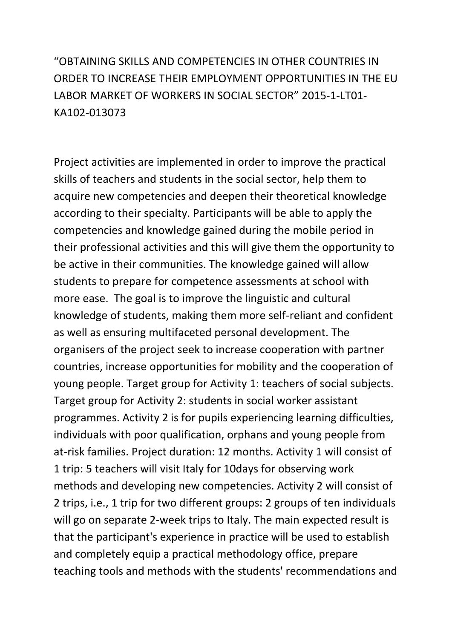"OBTAINING SKILLS AND COMPETENCIES IN OTHER COUNTRIES IN ORDER TO INCREASE THEIR EMPLOYMENT OPPORTUNITIES IN THE EU LABOR MARKET OF WORKERS IN SOCIAL SECTOR" 2015-1-LT01- KA102-013073

Project activities are implemented in order to improve the practical skills of teachers and students in the social sector, help them to acquire new competencies and deepen their theoretical knowledge according to their specialty. Participants will be able to apply the competencies and knowledge gained during the mobile period in their professional activities and this will give them the opportunity to be active in their communities. The knowledge gained will allow students to prepare for competence assessments at school with more ease. The goal is to improve the linguistic and cultural knowledge of students, making them more self-reliant and confident as well as ensuring multifaceted personal development. The organisers of the project seek to increase cooperation with partner countries, increase opportunities for mobility and the cooperation of young people. Target group for Activity 1: teachers of social subjects. Target group for Activity 2: students in social worker assistant programmes. Activity 2 is for pupils experiencing learning difficulties, individuals with poor qualification, orphans and young people from at-risk families. Project duration: 12 months. Activity 1 will consist of 1 trip: 5 teachers will visit Italy for 10days for observing work methods and developing new competencies. Activity 2 will consist of 2 trips, i.e., 1 trip for two different groups: 2 groups of ten individuals will go on separate 2-week trips to Italy. The main expected result is that the participant's experience in practice will be used to establish and completely equip a practical methodology office, prepare teaching tools and methods with the students' recommendations and